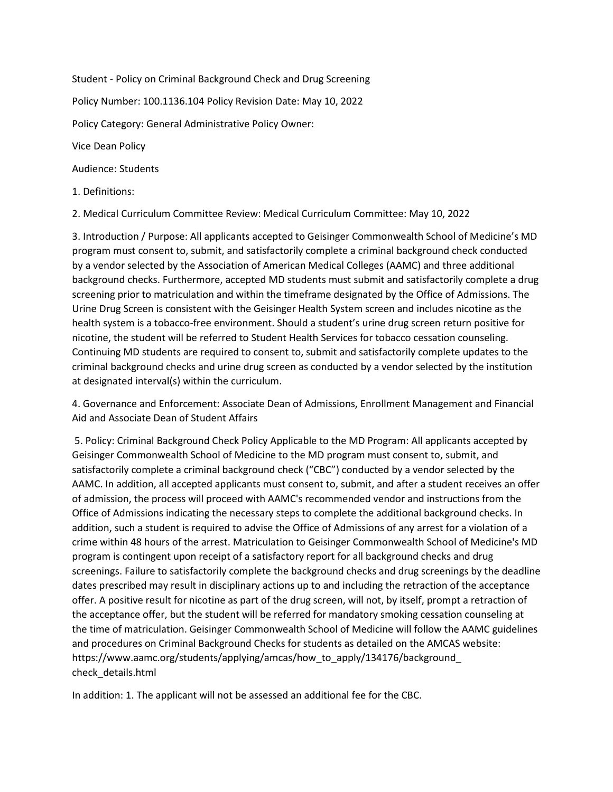Student - Policy on Criminal Background Check and Drug Screening

Policy Number: 100.1136.104 Policy Revision Date: May 10, 2022

Policy Category: General Administrative Policy Owner:

Vice Dean Policy

Audience: Students

1. Definitions:

2. Medical Curriculum Committee Review: Medical Curriculum Committee: May 10, 2022

3. Introduction / Purpose: All applicants accepted to Geisinger Commonwealth School of Medicine's MD program must consent to, submit, and satisfactorily complete a criminal background check conducted by a vendor selected by the Association of American Medical Colleges (AAMC) and three additional background checks. Furthermore, accepted MD students must submit and satisfactorily complete a drug screening prior to matriculation and within the timeframe designated by the Office of Admissions. The Urine Drug Screen is consistent with the Geisinger Health System screen and includes nicotine as the health system is a tobacco-free environment. Should a student's urine drug screen return positive for nicotine, the student will be referred to Student Health Services for tobacco cessation counseling. Continuing MD students are required to consent to, submit and satisfactorily complete updates to the criminal background checks and urine drug screen as conducted by a vendor selected by the institution at designated interval(s) within the curriculum.

4. Governance and Enforcement: Associate Dean of Admissions, Enrollment Management and Financial Aid and Associate Dean of Student Affairs

5. Policy: Criminal Background Check Policy Applicable to the MD Program: All applicants accepted by Geisinger Commonwealth School of Medicine to the MD program must consent to, submit, and satisfactorily complete a criminal background check ("CBC") conducted by a vendor selected by the AAMC. In addition, all accepted applicants must consent to, submit, and after a student receives an offer of admission, the process will proceed with AAMC's recommended vendor and instructions from the Office of Admissions indicating the necessary steps to complete the additional background checks. In addition, such a student is required to advise the Office of Admissions of any arrest for a violation of a crime within 48 hours of the arrest. Matriculation to Geisinger Commonwealth School of Medicine's MD program is contingent upon receipt of a satisfactory report for all background checks and drug screenings. Failure to satisfactorily complete the background checks and drug screenings by the deadline dates prescribed may result in disciplinary actions up to and including the retraction of the acceptance offer. A positive result for nicotine as part of the drug screen, will not, by itself, prompt a retraction of the acceptance offer, but the student will be referred for mandatory smoking cessation counseling at the time of matriculation. Geisinger Commonwealth School of Medicine will follow the AAMC guidelines and procedures on Criminal Background Checks for students as detailed on the AMCAS website: https://www.aamc.org/students/applying/amcas/how\_to\_apply/134176/background\_ check\_details.html

In addition: 1. The applicant will not be assessed an additional fee for the CBC.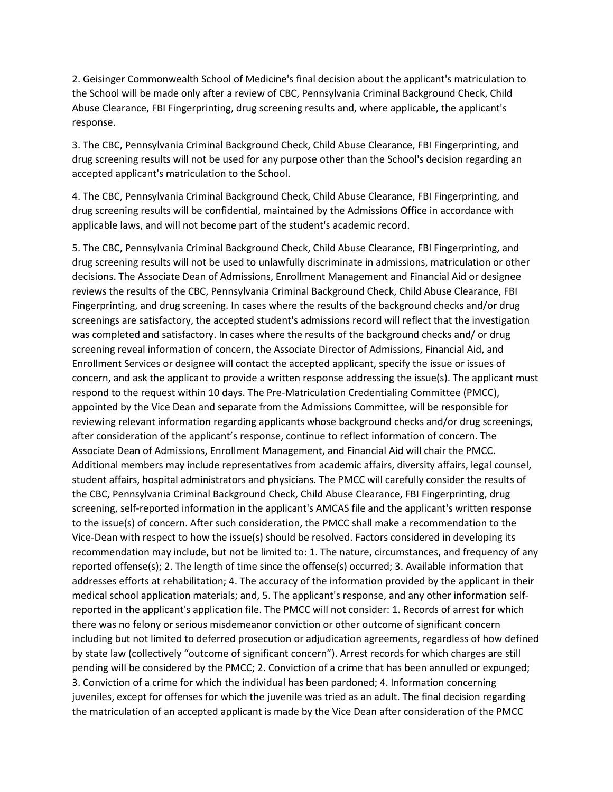2. Geisinger Commonwealth School of Medicine's final decision about the applicant's matriculation to the School will be made only after a review of CBC, Pennsylvania Criminal Background Check, Child Abuse Clearance, FBI Fingerprinting, drug screening results and, where applicable, the applicant's response.

3. The CBC, Pennsylvania Criminal Background Check, Child Abuse Clearance, FBI Fingerprinting, and drug screening results will not be used for any purpose other than the School's decision regarding an accepted applicant's matriculation to the School.

4. The CBC, Pennsylvania Criminal Background Check, Child Abuse Clearance, FBI Fingerprinting, and drug screening results will be confidential, maintained by the Admissions Office in accordance with applicable laws, and will not become part of the student's academic record.

5. The CBC, Pennsylvania Criminal Background Check, Child Abuse Clearance, FBI Fingerprinting, and drug screening results will not be used to unlawfully discriminate in admissions, matriculation or other decisions. The Associate Dean of Admissions, Enrollment Management and Financial Aid or designee reviews the results of the CBC, Pennsylvania Criminal Background Check, Child Abuse Clearance, FBI Fingerprinting, and drug screening. In cases where the results of the background checks and/or drug screenings are satisfactory, the accepted student's admissions record will reflect that the investigation was completed and satisfactory. In cases where the results of the background checks and/ or drug screening reveal information of concern, the Associate Director of Admissions, Financial Aid, and Enrollment Services or designee will contact the accepted applicant, specify the issue or issues of concern, and ask the applicant to provide a written response addressing the issue(s). The applicant must respond to the request within 10 days. The Pre-Matriculation Credentialing Committee (PMCC), appointed by the Vice Dean and separate from the Admissions Committee, will be responsible for reviewing relevant information regarding applicants whose background checks and/or drug screenings, after consideration of the applicant's response, continue to reflect information of concern. The Associate Dean of Admissions, Enrollment Management, and Financial Aid will chair the PMCC. Additional members may include representatives from academic affairs, diversity affairs, legal counsel, student affairs, hospital administrators and physicians. The PMCC will carefully consider the results of the CBC, Pennsylvania Criminal Background Check, Child Abuse Clearance, FBI Fingerprinting, drug screening, self-reported information in the applicant's AMCAS file and the applicant's written response to the issue(s) of concern. After such consideration, the PMCC shall make a recommendation to the Vice-Dean with respect to how the issue(s) should be resolved. Factors considered in developing its recommendation may include, but not be limited to: 1. The nature, circumstances, and frequency of any reported offense(s); 2. The length of time since the offense(s) occurred; 3. Available information that addresses efforts at rehabilitation; 4. The accuracy of the information provided by the applicant in their medical school application materials; and, 5. The applicant's response, and any other information selfreported in the applicant's application file. The PMCC will not consider: 1. Records of arrest for which there was no felony or serious misdemeanor conviction or other outcome of significant concern including but not limited to deferred prosecution or adjudication agreements, regardless of how defined by state law (collectively "outcome of significant concern"). Arrest records for which charges are still pending will be considered by the PMCC; 2. Conviction of a crime that has been annulled or expunged; 3. Conviction of a crime for which the individual has been pardoned; 4. Information concerning juveniles, except for offenses for which the juvenile was tried as an adult. The final decision regarding the matriculation of an accepted applicant is made by the Vice Dean after consideration of the PMCC